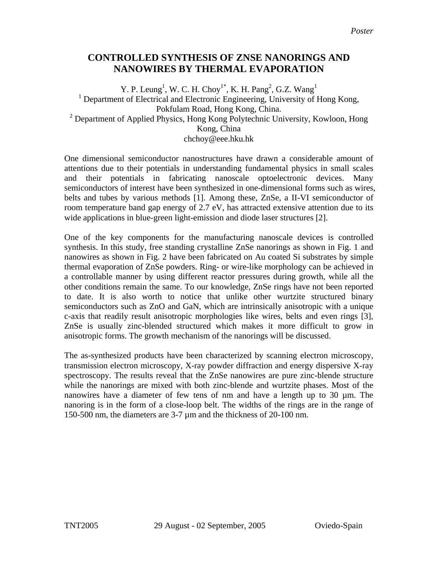## **CONTROLLED SYNTHESIS OF ZNSE NANORINGS AND NANOWIRES BY THERMAL EVAPORATION**

Y. P. Leung<sup>1</sup>, W. C. H. Choy<sup>1\*</sup>, K. H. Pang<sup>2</sup>, G.Z. Wang<sup>1</sup> <sup>1</sup> Department of Electrical and Electronic Engineering, University of Hong Kong, Pokfulam Road, Hong Kong, China. <sup>2</sup> Department of Applied Physics, Hong Kong Polytechnic University, Kowloon, Hong Kong, China chchoy@eee.hku.hk

One dimensional semiconductor nanostructures have drawn a considerable amount of attentions due to their potentials in understanding fundamental physics in small scales and their potentials in fabricating nanoscale optoelectronic devices. Many semiconductors of interest have been synthesized in one-dimensional forms such as wires, belts and tubes by various methods [1]. Among these, ZnSe, a II-VI semiconductor of room temperature band gap energy of 2.7 eV, has attracted extensive attention due to its wide applications in blue-green light-emission and diode laser structures [2].

One of the key components for the manufacturing nanoscale devices is controlled synthesis. In this study, free standing crystalline ZnSe nanorings as shown in Fig. 1 and nanowires as shown in Fig. 2 have been fabricated on Au coated Si substrates by simple thermal evaporation of ZnSe powders. Ring- or wire-like morphology can be achieved in a controllable manner by using different reactor pressures during growth, while all the other conditions remain the same. To our knowledge, ZnSe rings have not been reported to date. It is also worth to notice that unlike other wurtzite structured binary semiconductors such as ZnO and GaN, which are intrinsically anisotropic with a unique c-axis that readily result anisotropic morphologies like wires, belts and even rings [3], ZnSe is usually zinc-blended structured which makes it more difficult to grow in anisotropic forms. The growth mechanism of the nanorings will be discussed.

The as-synthesized products have been characterized by scanning electron microscopy, transmission electron microscopy, X-ray powder diffraction and energy dispersive X-ray spectroscopy. The results reveal that the ZnSe nanowires are pure zinc-blende structure while the nanorings are mixed with both zinc-blende and wurtzite phases. Most of the nanowires have a diameter of few tens of nm and have a length up to 30 µm. The nanoring is in the form of a close-loop belt. The widths of the rings are in the range of 150-500 nm, the diameters are 3-7 µm and the thickness of 20-100 nm.